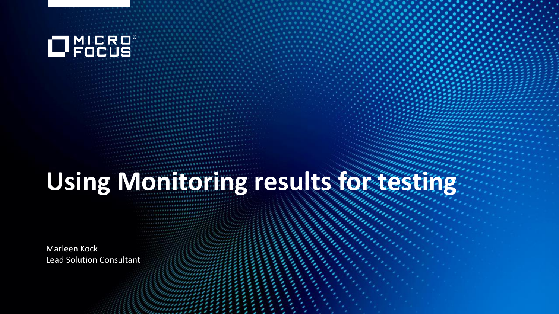

# **Using Monitoring results for testing**

Marleen Kock Lead Solution Consultant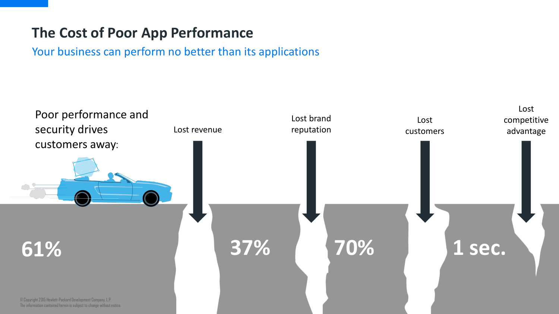### **The Cost of Poor App Performance**

Your business can perform no better than its applications

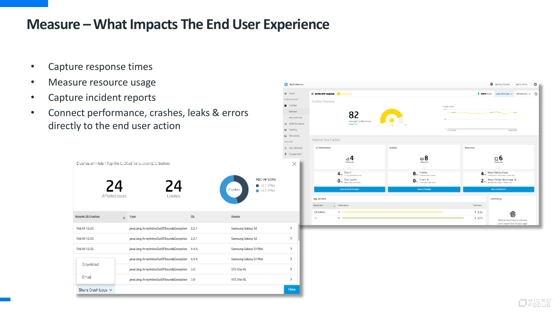### **Measure – What Impacts The End User Experience**

- Capture response times
- Measure resource usage
- Capture incident reports
- Connect performance, crashes, leaks & errors directly to the end user action



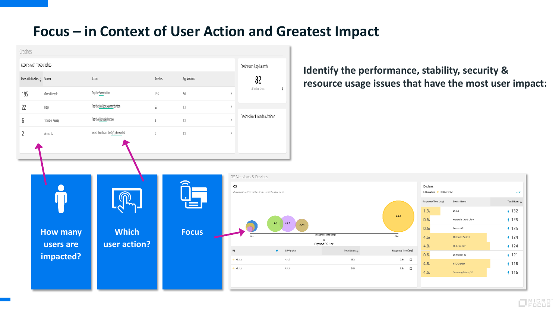#### **Focus – in Context of User Action and Greatest Impact**

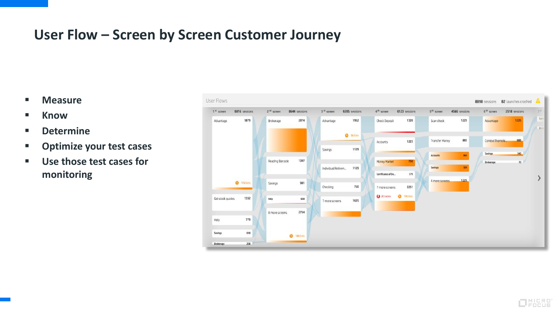### **User Flow – Screen by Screen Customer Journey**

- **Measure**
- **E** Know
- **Determine**
- **Optimize your test cases**
- **Use those test cases for monitoring**

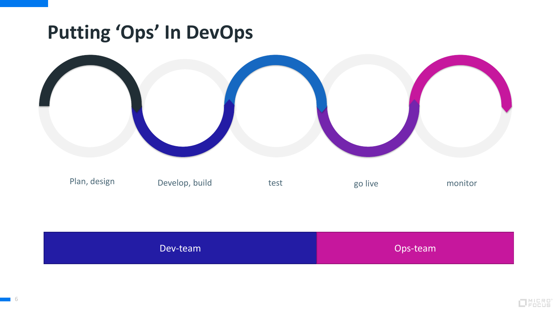## **Putting 'Ops' In DevOps**



| Dev-team | Ops-team |
|----------|----------|
|----------|----------|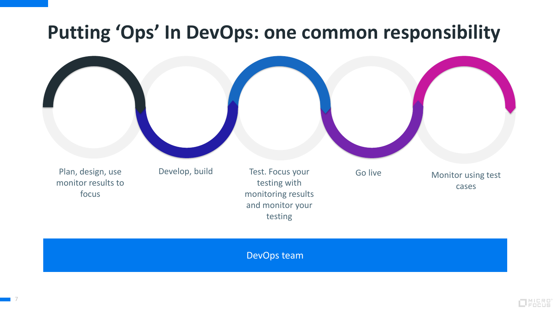## **Putting 'Ops' In DevOps: one common responsibility**



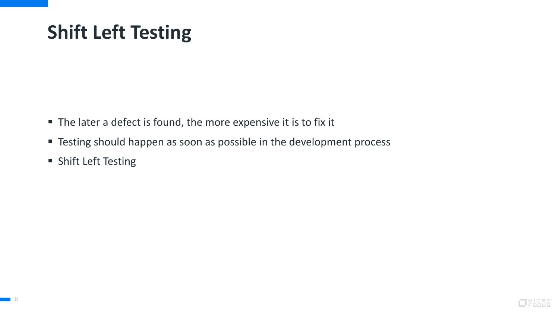# **Shift Left Testing**

- The later a defect is found, the more expensive it is to fix it
- **Testing should happen as soon as possible in the development process**
- **Shift Left Testing**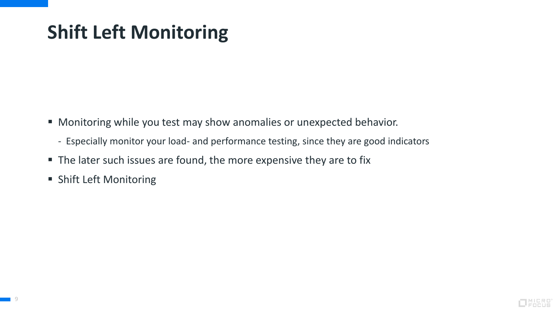# **Shift Left Monitoring**

- Monitoring while you test may show anomalies or unexpected behavior.
	- Especially monitor your load- and performance testing, since they are good indicators
- The later such issues are found, the more expensive they are to fix
- **Shift Left Monitoring**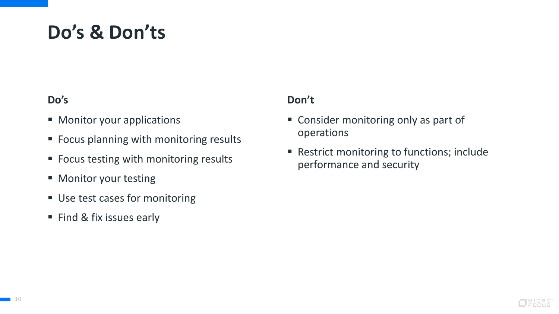## **Do's & Don'ts**

#### **Do's**

- **Monitor your applications**
- Focus planning with monitoring results
- Focus testing with monitoring results
- **Monitor your testing**
- **Use test cases for monitoring**
- Find & fix issues early

#### **Don't**

- Consider monitoring only as part of operations
- Restrict monitoring to functions; include performance and security